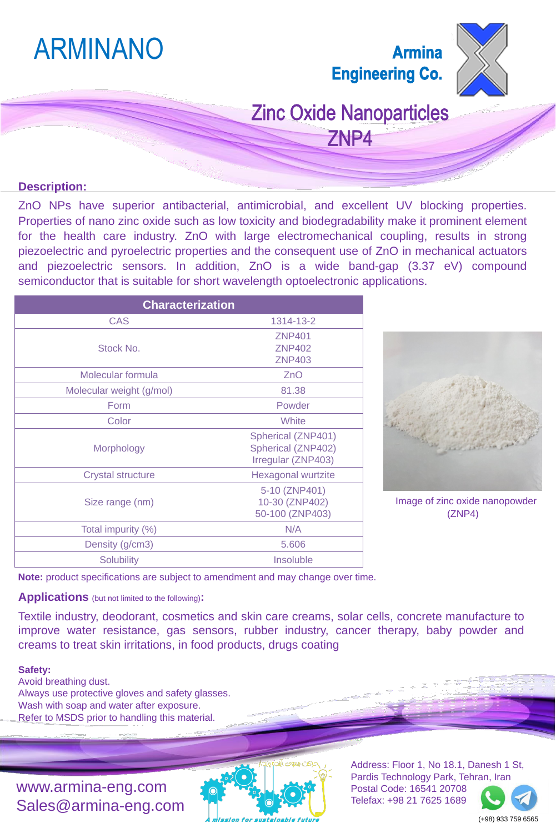### **Description:**

ZnO NPs have superior antibacterial, antimicrobial, and excellent UV blocking properties. Properties of nano zinc oxide such as low toxicity and biodegradability make it prominent element for the health care industry. ZnO with large electromechanical coupling, results in strong piezoelectric and pyroelectric properties and the consequent use of ZnO in mechanical actuators and piezoelectric sensors. In addition, ZnO is a wide band-gap (3.37 eV) compound semiconductor that is suitable for short wavelength optoelectronic applications.

## ARMINANO

### **Armina Engineering Co.**



**Zinc Oxide Nanoparticles** ZNP4

| <b>Characterization</b>  |                                                                              |
|--------------------------|------------------------------------------------------------------------------|
| <b>CAS</b>               | 1314-13-2                                                                    |
| Stock No.                | <b>ZNP401</b><br><b>ZNP402</b><br><b>ZNP403</b>                              |
| <b>Molecular formula</b> | ZnO                                                                          |
| Molecular weight (g/mol) | 81.38                                                                        |
| Form                     | Powder                                                                       |
| Color                    | White                                                                        |
| <b>Morphology</b>        | <b>Spherical (ZNP401)</b><br><b>Spherical (ZNP402)</b><br>Irregular (ZNP403) |
| <b>Crystal structure</b> | <b>Hexagonal wurtzite</b>                                                    |
| Size range (nm)          | 5-10 (ZNP401)<br>10-30 (ZNP402)<br>50-100 (ZNP403)                           |
| Total impurity (%)       | N/A                                                                          |
| Density (g/cm3)          | 5.606                                                                        |
| <b>Solubility</b>        | <b>Insoluble</b>                                                             |



**Note:** product specifications are subject to amendment and may change over time.

www.armina-eng.com Sales@armina-eng.com



(+98) 933 759 6565

### **Applications** (but not limited to the following)**:**

Textile industry, deodorant, cosmetics and skin care creams, solar cells, concrete manufacture to improve water resistance, gas sensors, rubber industry, cancer therapy, baby powder and creams to treat skin irritations, in food products, drugs coating

### **Safety:**

Avoid breathing dust. Always use protective gloves and safety glasses. Wash with soap and water after exposure. Refer to MSDS prior to handling this material.

Image of zinc oxide nanopowder (ZNP4)

Address: Floor 1, No 18.1, Danesh 1 St, Pardis Technology Park, Tehran, Iran Postal Code: 16541 20708 Telefax: +98 21 7625 1689

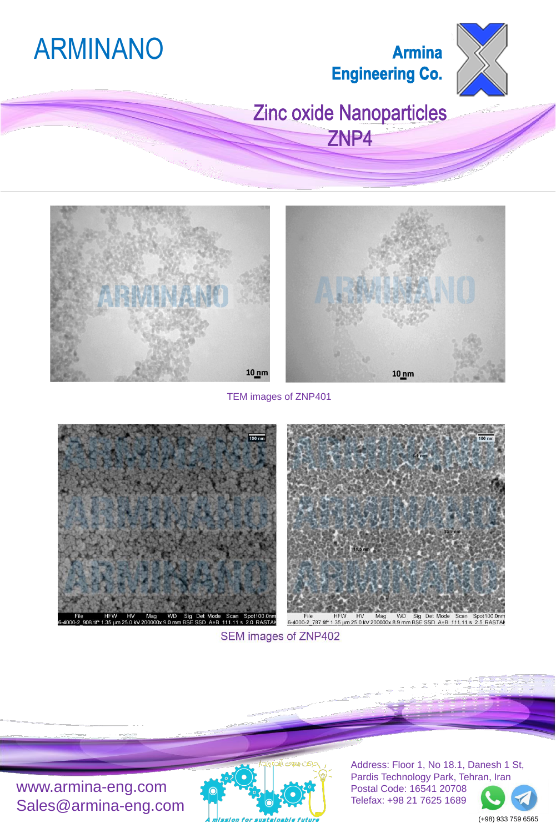# ARMINANO

## **Armina Engineering Co.**



## Zinc oxide Nanoparticles ZNP4





www.armina-eng.com Sales@armina-eng.com



(+98) 933 759 6565

TEM images of ZNP401







File HFW HV Mag WD Sig Det Mode Scan Spot100.0nm<br>6-4000-2\_787.tif\* 1.35 µm 25.0 kV 200000x 8.9 mm BSE SSD A+B 111.11 s 2.5 RASTA

SEM images of ZNP402

Address: Floor 1, No 18.1, Danesh 1 St, Pardis Technology Park, Tehran, Iran Postal Code: 16541 20708 Telefax: +98 21 7625 1689